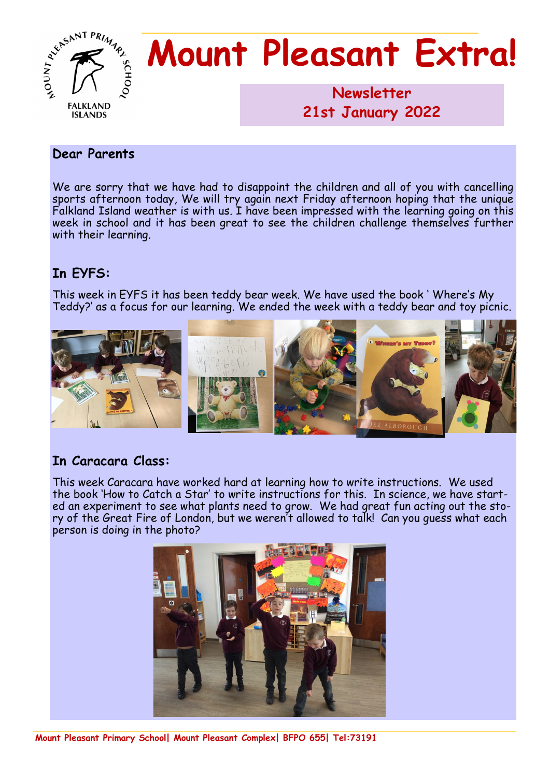

# **Mount Pleasant Extra!**

**Newsletter 1986 21st January 2022**

#### **Dear Parents**

We are sorry that we have had to disappoint the children and all of you with cancelling sports afternoon today, We will try again next Friday afternoon hoping that the unique Falkland Island weather is with us. I have been impressed with the learning going on this week in school and it has been great to see the children challenge themselves further with their learning.

#### **In EYFS:**

This week in EYFS it has been teddy bear week. We have used the book ' Where's My Teddy?' as a focus for our learning. We ended the week with a teddy bear and toy picnic.



### **In Caracara Class:**

This week Caracara have worked hard at learning how to write instructions. We used the book 'How to Catch a Star' to write instructions for this. In science, we have started an experiment to see what plants need to grow. We had great fun acting out the story of the Great Fire of London, but we weren't allowed to talk! Can you guess what each person is doing in the photo?

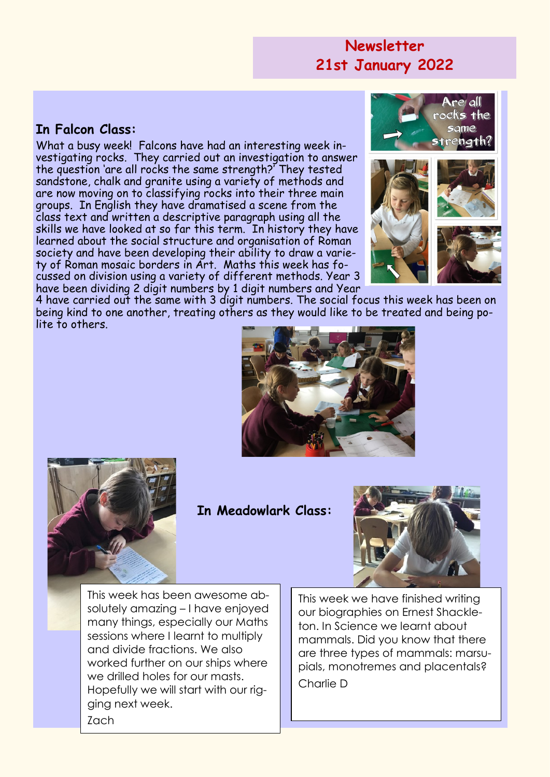## **Newsletter 21st January 2022**

#### **In Falcon Class:**

What a busy week! Falcons have had an interesting week investigating rocks. They carried out an investigation to answer the question 'are all rocks the same strength?' They tested sandstone, chalk and granite using a variety of methods and are now moving on to classifying rocks into their three main groups. In English they have dramatised a scene from the class text and written a descriptive paragraph using all the skills we have looked at so far this term. In history they have learned about the social structure and organisation of Roman society and have been developing their ability to draw a variety of Roman mosaic borders in Art. Maths this week has focussed on division using a variety of different methods. Year 3 have been dividing 2 digit numbers by 1 digit numbers and Year



4 have carried out the same with 3 digit numbers. The social focus this week has been on being kind to one another, treating others as they would like to be treated and being polite to others.





**In Meadowlark Class:**



This week has been awesome absolutely amazing – I have enjoyed many things, especially our Maths sessions where I learnt to multiply and divide fractions. We also worked further on our ships where we drilled holes for our masts. Hopefully we will start with our rigging next week. Zach

This week we have finished writing our biographies on Ernest Shackleton. In Science we learnt about mammals. Did you know that there are three types of mammals: marsupials, monotremes and placentals? Charlie D